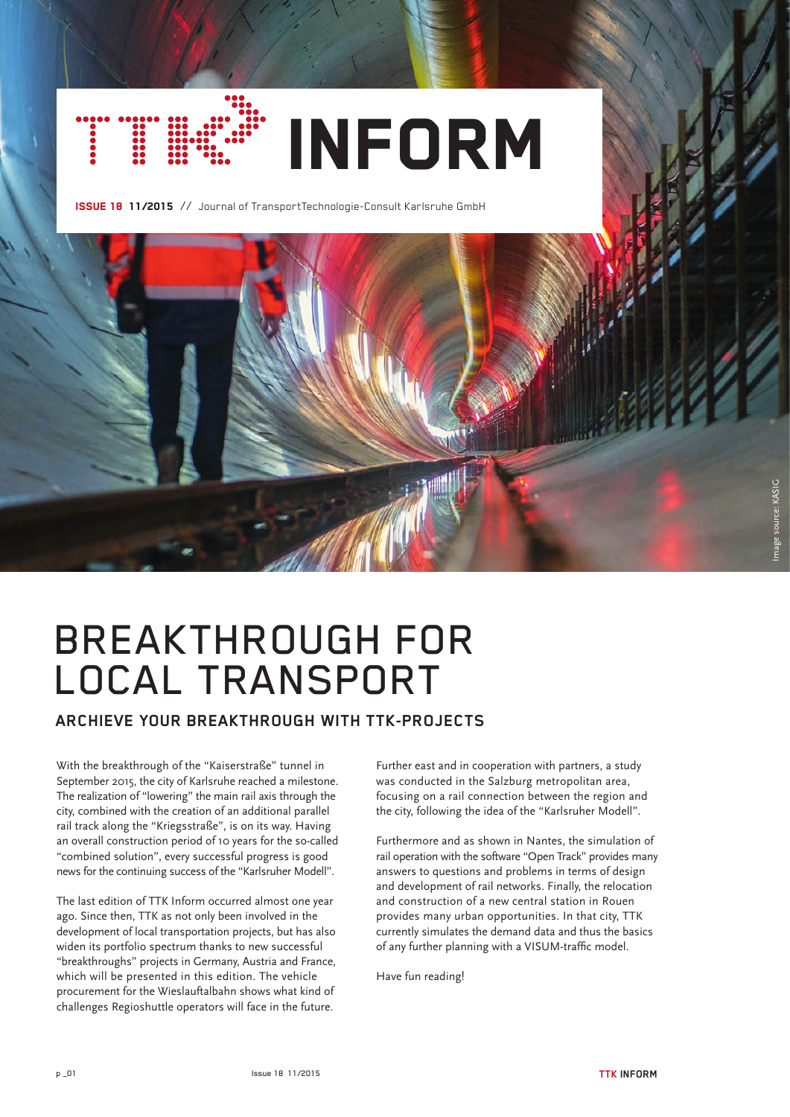

ISSUE 18 11/2015 // Journal of TransportTechnologie-Consult Karlsruhe GmbH



# BREAKTHROUGH FOR LOCAL TRANSPORT

# **ARCHIEVE YOUR BREAKTHROUGH WITH TTK-PROJECTS**

With the breakthrough of the "Kaiserstraße" tunnel in September 2015, the city of Karlsruhe reached a milestone. The realization of "lowering" the main rail axis through the city, combined with the creation of an additional parallel rail track along the "Kriegsstraße", is on its way. Having an overall construction period of 10 years for the so-called "combined solution", every successful progress is good news for the continuing success of the "Karlsruher Modell".

The last edition of TTK Inform occurred almost one year ago. Since then, TTK as not only been involved in the development of local transportation projects, but has also widen its portfolio spectrum thanks to new successful "breakthroughs" projects in Germany, Austria and France, which will be presented in this edition. The vehicle procurement for the Wieslauftalbahn shows what kind of challenges Regioshuttle operators will face in the future.

Further east and in cooperation with partners, a study was conducted in the Salzburg metropolitan area, focusing on a rail connection between the region and the city, following the idea of the "Karlsruher Modell".

Furthermore and as shown in Nantes, the simulation of rail operation with the software "Open Track" provides many answers to questions and problems in terms of design and development of rail networks. Finally, the relocation and construction of a new central station in Rouen provides many urban opportunities. In that city, TTK currently simulates the demand data and thus the basics of any further planning with a VISUM-traffic model.

Have fun reading!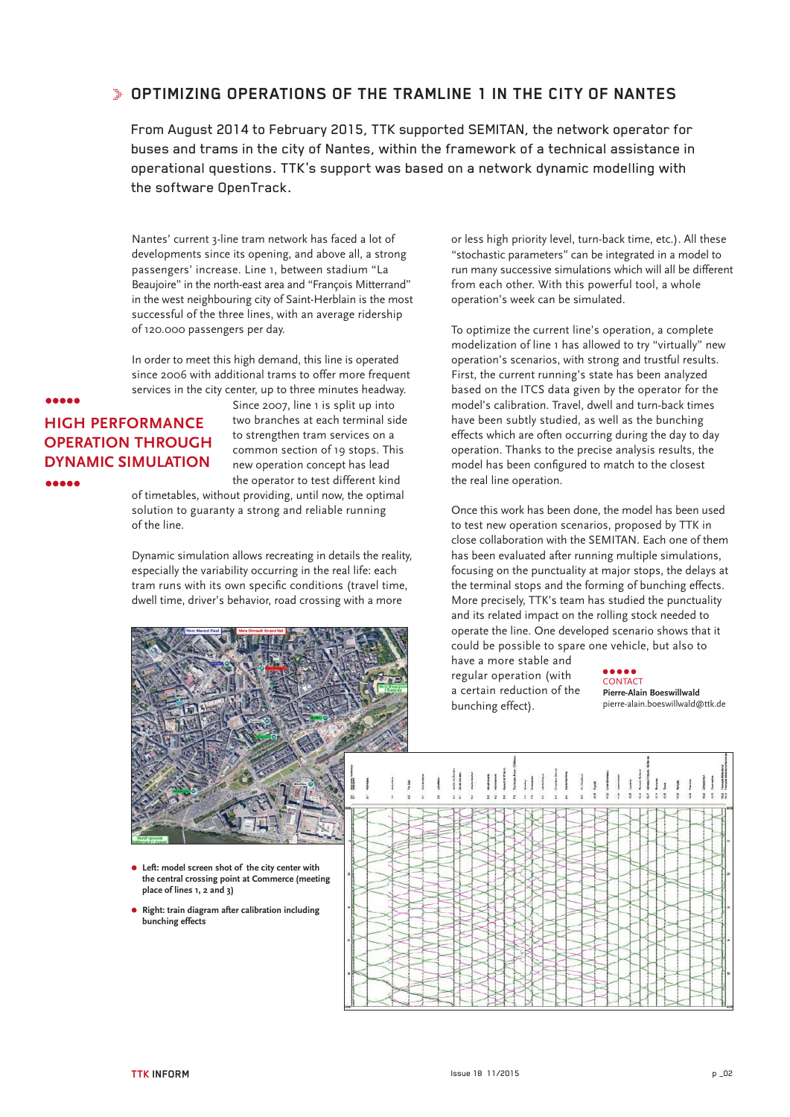## **OPTIMIZING OPERATIONS OF THE TRAMLINE 1 IN THE CITY OF NANTES**

From August 2014 to February 2015, TTK supported SEMITAN, the network operator for buses and trams in the city of Nantes, within the framework of a technical assistance in operational questions. TTK's support was based on a network dynamic modelling with the software OpenTrack.

Nantes' current 3-line tram network has faced a lot of developments since its opening, and above all, a strong passengers' increase. Line 1, between stadium "La Beaujoire" in the north-east area and "François Mitterrand" in the west neighbouring city of Saint-Herblain is the most successful of the three lines, with an average ridership of 120.000 passengers per day.

In order to meet this high demand, this line is operated since 2006 with additional trams to offer more frequent services in the city center, up to three minutes headway.

# **HIGH PERFORMANCE OPERATION THROUGH DYNAMIC SIMULATION AAAAA**

**AAAAA** 

Since 2007, line 1 is split up into two branches at each terminal side to strengthen tram services on a common section of 19 stops. This new operation concept has lead the operator to test different kind

of timetables, without providing, until now, the optimal solution to guaranty a strong and reliable running of the line.

Dynamic simulation allows recreating in details the reality, especially the variability occurring in the real life: each tram runs with its own specific conditions (travel time, dwell time, driver's behavior, road crossing with a more



**Left: model screen shot of the city center with the central crossing point at Commerce (meeting place of lines 1, 2 and 3)**

**Right: train diagram after calibration including bunching effects** 

or less high priority level, turn-back time, etc.). All these "stochastic parameters" can be integrated in a model to run many successive simulations which will all be different from each other. With this powerful tool, a whole operation's week can be simulated.

To optimize the current line's operation, a complete modelization of line 1 has allowed to try "virtually" new operation's scenarios, with strong and trustful results. First, the current running's state has been analyzed based on the ITCS data given by the operator for the model's calibration. Travel, dwell and turn-back times have been subtly studied, as well as the bunching effects which are often occurring during the day to day operation. Thanks to the precise analysis results, the model has been configured to match to the closest the real line operation.

Once this work has been done, the model has been used to test new operation scenarios, proposed by TTK in close collaboration with the SEMITAN. Each one of them has been evaluated after running multiple simulations, focusing on the punctuality at major stops, the delays at the terminal stops and the forming of bunching effects. More precisely, TTK's team has studied the punctuality and its related impact on the rolling stock needed to operate the line. One developed scenario shows that it could be possible to spare one vehicle, but also to

have a more stable and regular operation (with a certain reduction of the bunching effect).

#### **CONTACT Pierre-Alain Boeswillwald** pierre-alain.boeswillwald@ttk.de

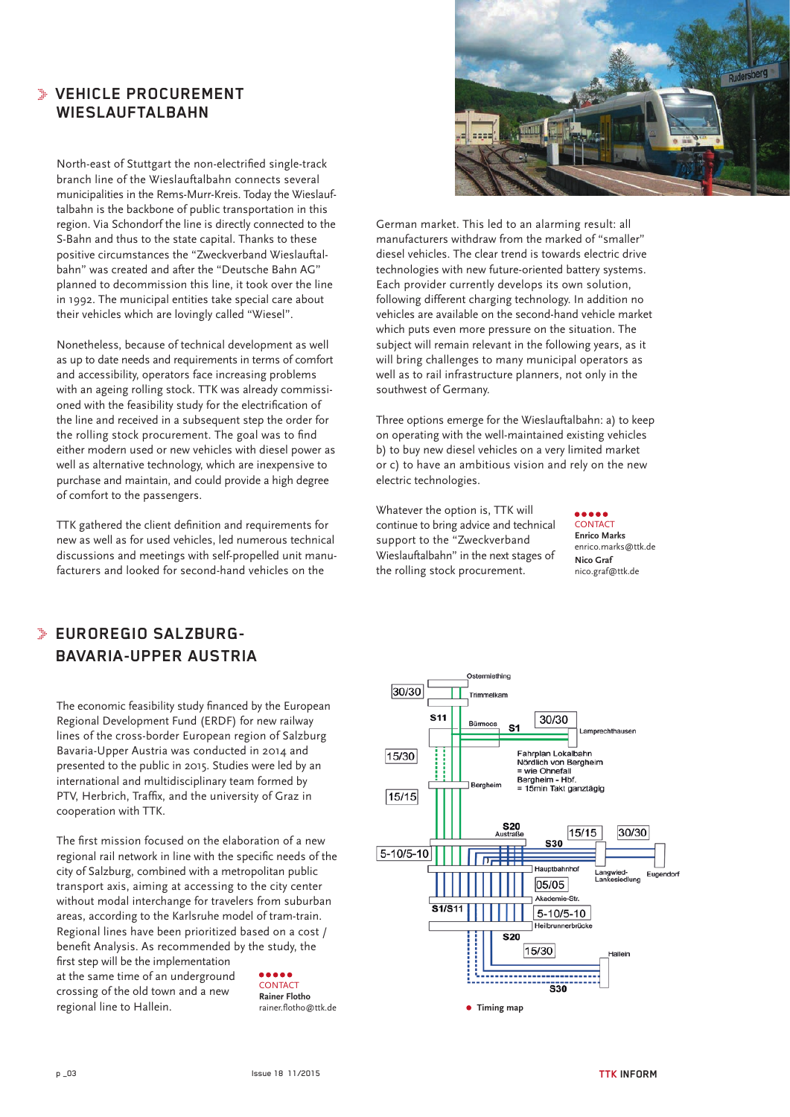# **VEHICLE PROCUREMENT WIESLAUFTALBAHN**

North-east of Stuttgart the non-electrified single-track branch line of the Wieslauftalbahn connects several municipalities in the Rems-Murr-Kreis. Today the Wieslauftalbahn is the backbone of public transportation in this region. Via Schondorf the line is directly connected to the S-Bahn and thus to the state capital. Thanks to these positive circumstances the "Zweckverband Wieslauftalbahn" was created and after the "Deutsche Bahn AG" planned to decommission this line, it took over the line in 1992. The municipal entities take special care about their vehicles which are lovingly called "Wiesel".

Nonetheless, because of technical development as well as up to date needs and requirements in terms of comfort and accessibility, operators face increasing problems with an ageing rolling stock. TTK was already commissioned with the feasibility study for the electrification of the line and received in a subsequent step the order for the rolling stock procurement. The goal was to find either modern used or new vehicles with diesel power as well as alternative technology, which are inexpensive to purchase and maintain, and could provide a high degree of comfort to the passengers.

TTK gathered the client definition and requirements for new as well as for used vehicles, led numerous technical discussions and meetings with self-propelled unit manufacturers and looked for second-hand vehicles on the



German market. This led to an alarming result: all manufacturers withdraw from the marked of "smaller" diesel vehicles. The clear trend is towards electric drive technologies with new future-oriented battery systems. Each provider currently develops its own solution, following different charging technology. In addition no vehicles are available on the second-hand vehicle market which puts even more pressure on the situation. The subject will remain relevant in the following years, as it will bring challenges to many municipal operators as well as to rail infrastructure planners, not only in the southwest of Germany.

Three options emerge for the Wieslauftalbahn: a) to keep on operating with the well-maintained existing vehicles b) to buy new diesel vehicles on a very limited market or c) to have an ambitious vision and rely on the new electric technologies.

Whatever the option is, TTK will continue to bring advice and technical support to the "Zweckverband Wieslauftalbahn" in the next stages of the rolling stock procurement.

 $\bullet\bullet\bullet\bullet\bullet$ **CONTACT Enrico Marks** enrico.marks@ttk.de **Nico Graf** nico.graf@ttk.de

# **EUROREGIO SALZBURG-BAVARIA-UPPER AUSTRIA**

The economic feasibility study financed by the European Regional Development Fund (ERDF) for new railway lines of the cross-border European region of Salzburg Bavaria-Upper Austria was conducted in 2014 and presented to the public in 2015. Studies were led by an international and multidisciplinary team formed by PTV, Herbrich, Traffix, and the university of Graz in cooperation with TTK.

The first mission focused on the elaboration of a new regional rail network in line with the specific needs of the city of Salzburg, combined with a metropolitan public transport axis, aiming at accessing to the city center without modal interchange for travelers from suburban areas, according to the Karlsruhe model of tram-train. Regional lines have been prioritized based on a cost / benefit Analysis. As recommended by the study, the first step will be the implementation at the same time of an underground crossing of the old town and a new regional line to Hallein. CONTACT **Rainer Flotho**<br>rainer flotho@ttk de